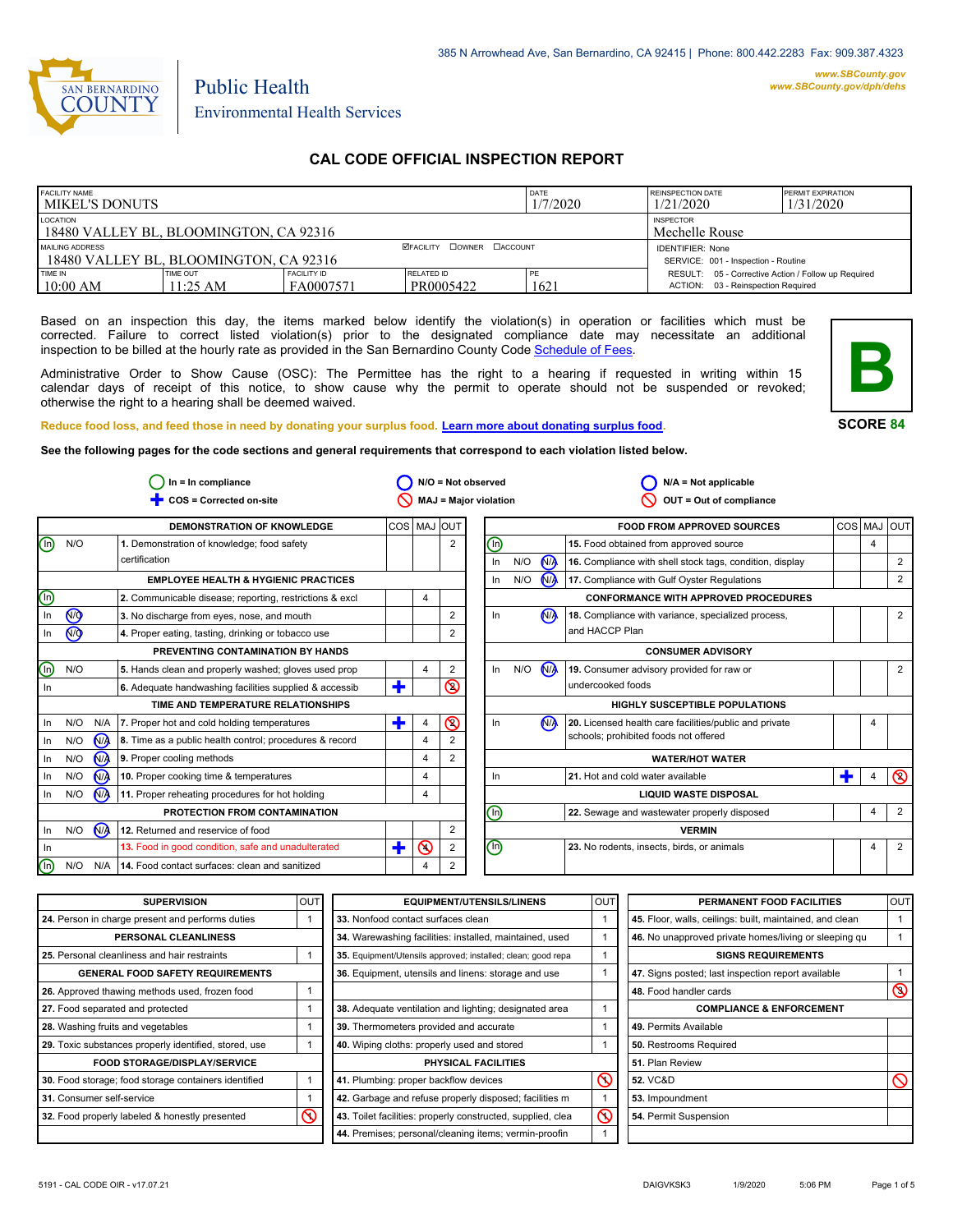

# Public Health Environmental Health Services

### **CAL CODE OFFICIAL INSPECTION REPORT**

| <b>FACILITY NAME</b><br>l MIKEL'S DONUTS                  |                        |                                                                |                         | DATE<br>1/7/2020 | <b>REINSPECTION DATE</b><br>1/21/2020                                                     | <b>PERMIT EXPIRATION</b><br>1/31/2020 |
|-----------------------------------------------------------|------------------------|----------------------------------------------------------------|-------------------------|------------------|-------------------------------------------------------------------------------------------|---------------------------------------|
| LOCATION<br>18480 VALLEY BL, BLOOMINGTON, CA 92316        |                        | <b>INSPECTOR</b><br>Mechelle Rouse                             |                         |                  |                                                                                           |                                       |
| MAILING ADDRESS<br>18480 VALLEY BL. BLOOMINGTON. CA 92316 |                        | <b>IDENTIFIER: None</b><br>SERVICE: 001 - Inspection - Routine |                         |                  |                                                                                           |                                       |
| TIME IN<br>10:00 AM                                       | TIME OUT<br>$11:25$ AM | <b>FACILITY ID</b><br>FA0007571                                | RELATED ID<br>PR0005422 | 1621             | RESULT: 05 - Corrective Action / Follow up Required<br>ACTION: 03 - Reinspection Required |                                       |

Based on an inspection this day, the items marked below identify the violation(s) in operation or facilities which must be corrected. Failure to correct listed violation(s) prior to the designated compliance date may necessitate an additional inspection to be billed at the hourly rate as provided in the San Bernardino County Code Schedule [of Fees.](http://www.amlegal.com/nxt/gateway.dll/California/sanbernardinocounty_ca/title1governmentandadministration/division6countyfees/chapter2scheduleoffees?f=templates$fn=default.htm$3.0$vid=amlegal:sanbernardinocounty_ca$anc=JD_16.0213B)

Administrative Order to Show Cause (OSC): The Permittee has the right to a hearing if requested in writing within 15 calendar days of receipt of this notice, to show cause why the permit to operate should not be suspended or revoked; otherwise the right to a hearing shall be deemed waived.



**SCORE 84**

**Reduce food loss, and feed those in need by donating your surplus food. Learn mor[e about donating surplus food.](http://wp.sbcounty.gov/dph/programs/ehs/food-facilities/)**

**See the following pages for the code sections and general requirements that correspond to each violation listed below.**

|         |                |                | $In = In$ compliance                                    |             |                |                | $N/O = Not observed$           |                              |                | $N/A = Not applicable$                                   |     |                |                |
|---------|----------------|----------------|---------------------------------------------------------|-------------|----------------|----------------|--------------------------------|------------------------------|----------------|----------------------------------------------------------|-----|----------------|----------------|
|         |                |                | COS = Corrected on-site                                 |             |                |                | <b>MAJ = Major violation</b>   |                              |                | OUT = Out of compliance                                  |     |                |                |
|         |                |                | <b>DEMONSTRATION OF KNOWLEDGE</b>                       | COS MAJ OUT |                |                |                                |                              |                | <b>FOOD FROM APPROVED SOURCES</b>                        | COS | MAJ            | loutl          |
| ⑯       | N/O            |                | 1. Demonstration of knowledge; food safety              |             |                | $\overline{2}$ | $\textcircled{\scriptsize{1}}$ |                              |                | 15. Food obtained from approved source                   |     | $\overline{4}$ |                |
|         |                |                | certification                                           |             |                |                | In                             | N/O                          | <b>MA</b>      | 16. Compliance with shell stock tags, condition, display |     |                | 2              |
|         |                |                | <b>EMPLOYEE HEALTH &amp; HYGIENIC PRACTICES</b>         |             |                |                | In.                            | N/O                          | N <sub>A</sub> | 17. Compliance with Gulf Oyster Regulations              |     |                | 2              |
| (lŋ)    |                |                | 2. Communicable disease; reporting, restrictions & excl |             | 4              |                |                                |                              |                | <b>CONFORMANCE WITH APPROVED PROCEDURES</b>              |     |                |                |
| In      | $\circledcirc$ |                | 3. No discharge from eyes, nose, and mouth              |             |                | $\overline{2}$ | In                             |                              | N <sub>/</sub> | 18. Compliance with variance, specialized process,       |     |                | 2              |
| In      | N <sub>O</sub> |                | 4. Proper eating, tasting, drinking or tobacco use      |             |                | $\overline{c}$ |                                |                              |                | and HACCP Plan                                           |     |                |                |
|         |                |                | PREVENTING CONTAMINATION BY HANDS                       |             |                |                |                                |                              |                | <b>CONSUMER ADVISORY</b>                                 |     |                |                |
| (lŋ)    | N/O            |                | 5. Hands clean and properly washed; gloves used prop    |             | 4              | 2              | In                             | N/O                          | N              | 19. Consumer advisory provided for raw or                |     |                | 2              |
| In      |                |                | 6. Adequate handwashing facilities supplied & accessib  | ٠           |                | $\circledcirc$ |                                |                              |                | undercooked foods                                        |     |                |                |
|         |                |                | TIME AND TEMPERATURE RELATIONSHIPS                      |             |                |                |                                |                              |                | <b>HIGHLY SUSCEPTIBLE POPULATIONS</b>                    |     |                |                |
| In      | N/O            | N/A            | 7. Proper hot and cold holding temperatures             | т           |                | $\circledcirc$ | In                             |                              | <b>NA</b>      | 20. Licensed health care facilities/public and private   |     | 4              |                |
| In      | N/O            | $N_A$          | 8. Time as a public health control; procedures & record |             | 4              |                |                                |                              |                | schools; prohibited foods not offered                    |     |                |                |
| In      | N/O            | N <sub>A</sub> | 9. Proper cooling methods                               |             | $\overline{4}$ | $\overline{2}$ |                                |                              |                | <b>WATER/HOT WATER</b>                                   |     |                |                |
| In      | N/O            | N <sub>/</sub> | 10. Proper cooking time & temperatures                  |             | $\overline{4}$ |                | In.                            |                              |                | 21. Hot and cold water available                         |     | 4              | $\circledcirc$ |
| In      | N/O            | N/A            | 11. Proper reheating procedures for hot holding         |             | 4              |                |                                | <b>LIQUID WASTE DISPOSAL</b> |                |                                                          |     |                |                |
|         |                |                | PROTECTION FROM CONTAMINATION                           |             |                |                | ⊙                              |                              |                | 22. Sewage and wastewater properly disposed              |     | 4              | $\overline{2}$ |
| In      | N/O            | M              | 12. Returned and reservice of food                      |             |                | 2              |                                |                              |                | <b>VERMIN</b>                                            |     |                |                |
| In.     |                |                | 13. Food in good condition, safe and unadulterated      | ٠           | $\odot$        | 2              | $\textcircled{\scriptsize{0}}$ |                              |                | 23. No rodents, insects, birds, or animals               |     | 4              | $\overline{2}$ |
| $(\ln)$ | N/O            | N/A            | 14. Food contact surfaces: clean and sanitized          |             | $\Delta$       | 2              |                                |                              |                |                                                          |     |                |                |

| <b>SUPERVISION</b>                                    | <b>OUT</b> | <b>EQUIPMENT/UTENSILS/LINENS</b>                             | <b>OUT</b>               | PERMANENT FOOD FACILITIES                                | <b>OUT</b>     |
|-------------------------------------------------------|------------|--------------------------------------------------------------|--------------------------|----------------------------------------------------------|----------------|
| 24. Person in charge present and performs duties      |            | 33. Nonfood contact surfaces clean                           |                          | 45. Floor, walls, ceilings: built, maintained, and clean |                |
| PERSONAL CLEANLINESS                                  |            | 34. Warewashing facilities: installed, maintained, used      |                          | 46. No unapproved private homes/living or sleeping qu    |                |
| 25. Personal cleanliness and hair restraints          |            | 35. Equipment/Utensils approved; installed; clean; good repa |                          | <b>SIGNS REQUIREMENTS</b>                                |                |
| <b>GENERAL FOOD SAFETY REQUIREMENTS</b>               |            | 36. Equipment, utensils and linens: storage and use          |                          | 47. Signs posted; last inspection report available       |                |
| 26. Approved thawing methods used, frozen food        |            |                                                              |                          | 48. Food handler cards                                   | $\circledcirc$ |
| 27. Food separated and protected                      |            | 38. Adequate ventilation and lighting; designated area       |                          | <b>COMPLIANCE &amp; ENFORCEMENT</b>                      |                |
| 28. Washing fruits and vegetables                     |            | 39. Thermometers provided and accurate                       |                          | 49. Permits Available                                    |                |
| 29. Toxic substances properly identified, stored, use |            | 40. Wiping cloths: properly used and stored                  |                          | 50. Restrooms Required                                   |                |
| <b>FOOD STORAGE/DISPLAY/SERVICE</b>                   |            | PHYSICAL FACILITIES                                          |                          | 51. Plan Review                                          |                |
| 30. Food storage; food storage containers identified  |            | 41. Plumbing: proper backflow devices                        | $\circledcirc$           | <b>52. VC&amp;D</b>                                      | $\mathcal O$   |
| 31. Consumer self-service                             |            | 42. Garbage and refuse properly disposed; facilities m       |                          | 53. Impoundment                                          |                |
| 32. Food properly labeled & honestly presented        | ∾          | 43. Toilet facilities: properly constructed, supplied, clea  | $\overline{\mathcal{C}}$ | 54. Permit Suspension                                    |                |
|                                                       |            | 44. Premises; personal/cleaning items; vermin-proofin        |                          |                                                          |                |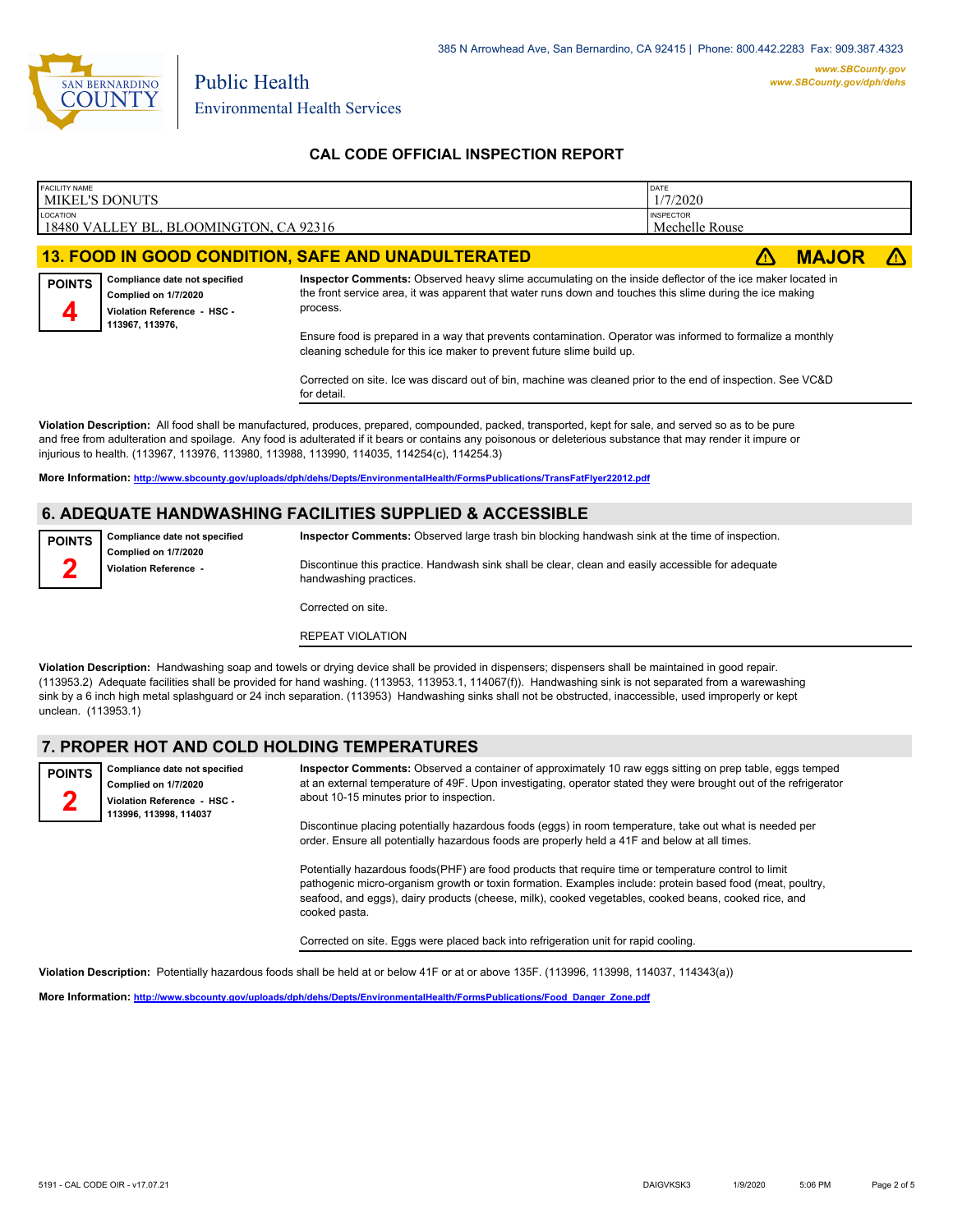

## **CAL CODE OFFICIAL INSPECTION REPORT**

| <b>FACILITY NAME</b><br><b>MIKEL'S DONUTS</b> |                                                                                                                                                                                      |                                                                                                                                                                                                                                                                                                                                                                                                                      | DATE<br>1/7/2020                   |              |  |  |
|-----------------------------------------------|--------------------------------------------------------------------------------------------------------------------------------------------------------------------------------------|----------------------------------------------------------------------------------------------------------------------------------------------------------------------------------------------------------------------------------------------------------------------------------------------------------------------------------------------------------------------------------------------------------------------|------------------------------------|--------------|--|--|
| LOCATION                                      | 18480 VALLEY BL, BLOOMINGTON, CA 92316                                                                                                                                               |                                                                                                                                                                                                                                                                                                                                                                                                                      | <b>INSPECTOR</b><br>Mechelle Rouse |              |  |  |
|                                               |                                                                                                                                                                                      | 13. FOOD IN GOOD CONDITION, SAFE AND UNADULTERATED                                                                                                                                                                                                                                                                                                                                                                   |                                    | <b>MAJOR</b> |  |  |
| <b>POINTS</b>                                 | Compliance date not specified<br>Complied on 1/7/2020<br>Violation Reference - HSC -<br>113967, 113976,                                                                              | Inspector Comments: Observed heavy slime accumulating on the inside deflector of the ice maker located in<br>the front service area, it was apparent that water runs down and touches this slime during the ice making<br>process.                                                                                                                                                                                   |                                    |              |  |  |
|                                               | Ensure food is prepared in a way that prevents contamination. Operator was informed to formalize a monthly<br>cleaning schedule for this ice maker to prevent future slime build up. |                                                                                                                                                                                                                                                                                                                                                                                                                      |                                    |              |  |  |
|                                               |                                                                                                                                                                                      | Corrected on site. Ice was discard out of bin, machine was cleaned prior to the end of inspection. See VC&D<br>for detail.                                                                                                                                                                                                                                                                                           |                                    |              |  |  |
|                                               |                                                                                                                                                                                      | Violation Description: All food shall be manufactured, produces, prepared, compounded, packed, transported, kept for sale, and served so as to be pure<br>and free from adulteration and spoilage. Any food is adulterated if it bears or contains any poisonous or deleterious substance that may render it impure or<br>injurious to health. (113967, 113976, 113980, 113988, 113990, 114035, 114254(c), 114254.3) |                                    |              |  |  |
|                                               |                                                                                                                                                                                      | More Information: http://www.sbcounty.gov/uploads/dph/dehs/Depts/EnvironmentalHealth/FormsPublications/TransFatFlyer22012.pdf                                                                                                                                                                                                                                                                                        |                                    |              |  |  |
|                                               |                                                                                                                                                                                      | <b>6. ADEQUATE HANDWASHING FACILITIES SUPPLIED &amp; ACCESSIBLE</b>                                                                                                                                                                                                                                                                                                                                                  |                                    |              |  |  |
| <b>POINTS</b>                                 | Compliance date not specified<br>Complied on 1/7/2020                                                                                                                                | Inspector Comments: Observed large trash bin blocking handwash sink at the time of inspection.                                                                                                                                                                                                                                                                                                                       |                                    |              |  |  |
|                                               | Violation Reference -                                                                                                                                                                | Discontinue this practice. Handwash sink shall be clear, clean and easily accessible for adequate<br>handwashing practices.                                                                                                                                                                                                                                                                                          |                                    |              |  |  |
|                                               |                                                                                                                                                                                      | Corrected on site.                                                                                                                                                                                                                                                                                                                                                                                                   |                                    |              |  |  |

REPEAT VIOLATION

**Violation Description:** Handwashing soap and towels or drying device shall be provided in dispensers; dispensers shall be maintained in good repair. (113953.2) Adequate facilities shall be provided for hand washing. (113953, 113953.1, 114067(f)). Handwashing sink is not separated from a warewashing sink by a 6 inch high metal splashguard or 24 inch separation. (113953) Handwashing sinks shall not be obstructed, inaccessible, used improperly or kept unclean. (113953.1)

#### **7. PROPER HOT AND COLD HOLDING TEMPERATURES**

**Compliance date not specified Complied on 1/7/2020 POINTS**

**Violation Reference - HSC - 113996, 113998, 114037**

**2**

**Inspector Comments:** Observed a container of approximately 10 raw eggs sitting on prep table, eggs temped at an external temperature of 49F. Upon investigating, operator stated they were brought out of the refrigerator about 10-15 minutes prior to inspection.

Discontinue placing potentially hazardous foods (eggs) in room temperature, take out what is needed per order. Ensure all potentially hazardous foods are properly held a 41F and below at all times.

Potentially hazardous foods(PHF) are food products that require time or temperature control to limit pathogenic micro-organism growth or toxin formation. Examples include: protein based food (meat, poultry, seafood, and eggs), dairy products (cheese, milk), cooked vegetables, cooked beans, cooked rice, and cooked pasta.

Corrected on site. Eggs were placed back into refrigeration unit for rapid cooling.

**Violation Description:** Potentially hazardous foods shall be held at or below 41F or at or above 135F. (113996, 113998, 114037, 114343(a))

**More Information: [http://www.sbcounty.gov/uploads/dph/dehs/Depts/EnvironmentalHealth/FormsPublications/Food\\_Danger\\_Zone.pdf](http://www.sbcounty.gov/uploads/dph/dehs/Depts/EnvironmentalHealth/FormsPublications/Food_Danger_Zone.pdf)**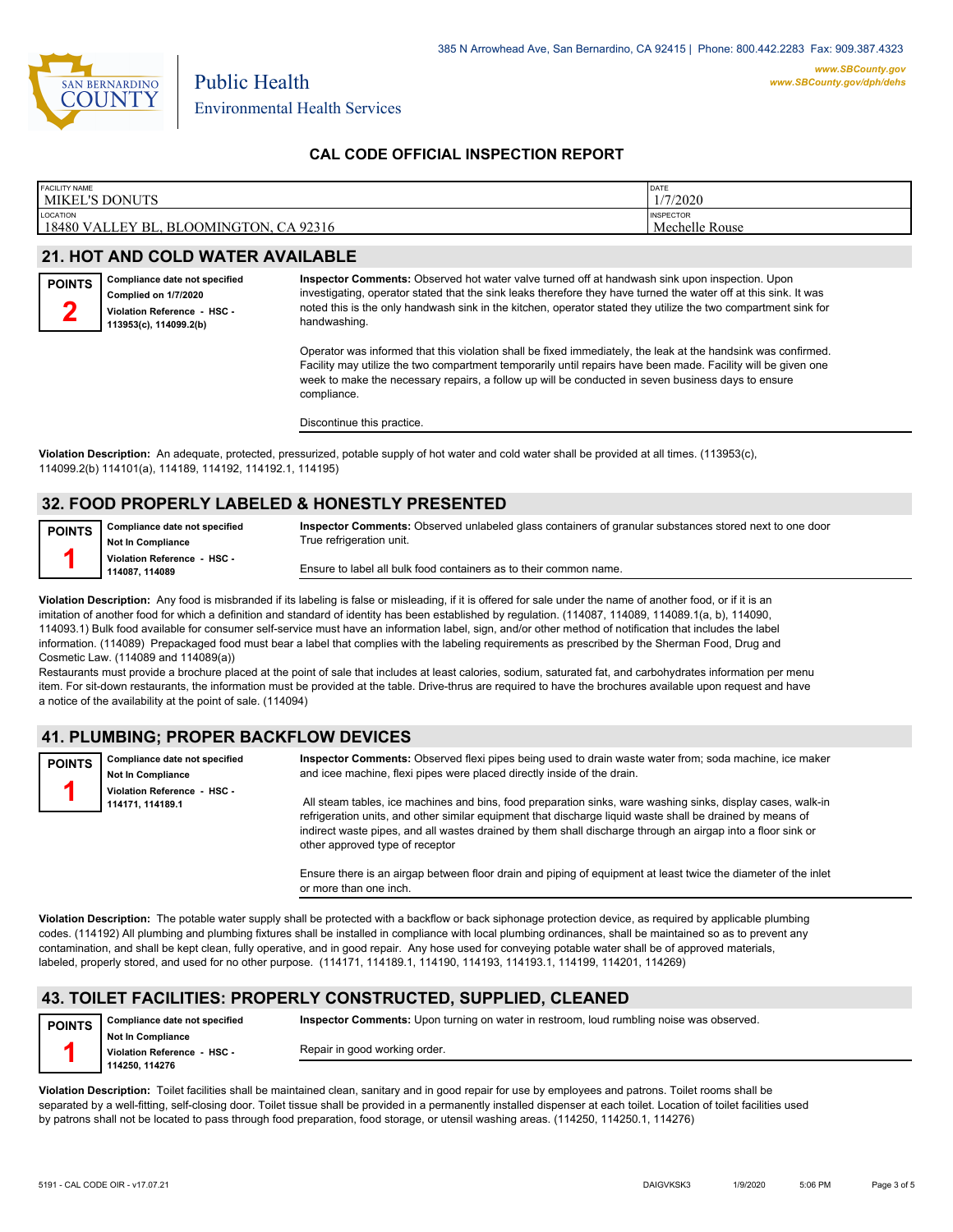

### **CAL CODE OFFICIAL INSPECTION REPORT**

| <b>FACILITY NAME</b>                                         | DATE                               |
|--------------------------------------------------------------|------------------------------------|
| <b>MIKEL'S DONUTS</b>                                        | /7/2020                            |
| <b>LOCATION</b><br>18480 VALLEY BL, BLOOMINGTON,<br>CA 92316 | <b>INSPECTOR</b><br>Mechelle Rouse |

### **21. HOT AND COLD WATER AVAILABLE**

| <b>POINTS</b> | Compliance date not specified |  |  |
|---------------|-------------------------------|--|--|
|               | Complied on 1/7/2020          |  |  |
|               | Violation Reference - HSC -   |  |  |
|               | 113953(c). 114099.2(b)        |  |  |

**Inspector Comments:** Observed hot water valve turned off at handwash sink upon inspection. Upon investigating, operator stated that the sink leaks therefore they have turned the water off at this sink. It was noted this is the only handwash sink in the kitchen, operator stated they utilize the two compartment sink for handwashing.

Operator was informed that this violation shall be fixed immediately, the leak at the handsink was confirmed. Facility may utilize the two compartment temporarily until repairs have been made. Facility will be given one week to make the necessary repairs, a follow up will be conducted in seven business days to ensure compliance.

Discontinue this practice.

**Violation Description:** An adequate, protected, pressurized, potable supply of hot water and cold water shall be provided at all times. (113953(c), 114099.2(b) 114101(a), 114189, 114192, 114192.1, 114195)

### **32. FOOD PROPERLY LABELED & HONESTLY PRESENTED**

**Compliance date not specified Not In Compliance Violation Reference - HSC - 114087, 114089 POINTS 1**

**Inspector Comments:** Observed unlabeled glass containers of granular substances stored next to one door True refrigeration unit.

Ensure to label all bulk food containers as to their common name.

Violation Description: Any food is misbranded if its labeling is false or misleading, if it is offered for sale under the name of another food, or if it is an imitation of another food for which a definition and standard of identity has been established by regulation. (114087, 114089, 114089.1(a, b), 114090, 114093.1) Bulk food available for consumer self-service must have an information label, sign, and/or other method of notification that includes the label information. (114089) Prepackaged food must bear a label that complies with the labeling requirements as prescribed by the Sherman Food, Drug and Cosmetic Law. (114089 and 114089(a))

Restaurants must provide a brochure placed at the point of sale that includes at least calories, sodium, saturated fat, and carbohydrates information per menu item. For sit-down restaurants, the information must be provided at the table. Drive-thrus are required to have the brochures available upon request and have a notice of the availability at the point of sale. (114094)

### **41. PLUMBING; PROPER BACKFLOW DEVICES**

| <b>POINTS</b> | Compliance date not specified<br><b>Not In Compliance</b> | Inspector Comments: Observed flexi pipes being used to drain waste water from; soda machine, ice maker<br>and icee machine, flexi pipes were placed directly inside of the drain.                                        |
|---------------|-----------------------------------------------------------|--------------------------------------------------------------------------------------------------------------------------------------------------------------------------------------------------------------------------|
|               | Violation Reference - HSC -<br>114171, 114189.1           | All steam tables, ice machines and bins, food preparation sinks, ware washing sinks, display cases, walk-in<br>refrigeration units, and other similar equipment that discharge liquid waste shall be drained by means of |
|               |                                                           | indirect waste pipes, and all wastes drained by them shall discharge through an airgap into a floor sink or<br>other approved type of receptor                                                                           |

Ensure there is an airgap between floor drain and piping of equipment at least twice the diameter of the inlet or more than one inch.

**Violation Description:** The potable water supply shall be protected with a backflow or back siphonage protection device, as required by applicable plumbing codes. (114192) All plumbing and plumbing fixtures shall be installed in compliance with local plumbing ordinances, shall be maintained so as to prevent any contamination, and shall be kept clean, fully operative, and in good repair. Any hose used for conveying potable water shall be of approved materials, labeled, properly stored, and used for no other purpose. (114171, 114189.1, 114190, 114193, 114193.1, 114199, 114201, 114269)

### **43. TOILET FACILITIES: PROPERLY CONSTRUCTED, SUPPLIED, CLEANED**

**Compliance date not specified Not In Compliance Violation Reference - HSC - 114250, 114276 POINTS 1 Inspector Comments:** Upon turning on water in restroom, loud rumbling noise was observed. Repair in good working order.

**Violation Description:** Toilet facilities shall be maintained clean, sanitary and in good repair for use by employees and patrons. Toilet rooms shall be separated by a well-fitting, self-closing door. Toilet tissue shall be provided in a permanently installed dispenser at each toilet. Location of toilet facilities used by patrons shall not be located to pass through food preparation, food storage, or utensil washing areas. (114250, 114250.1, 114276)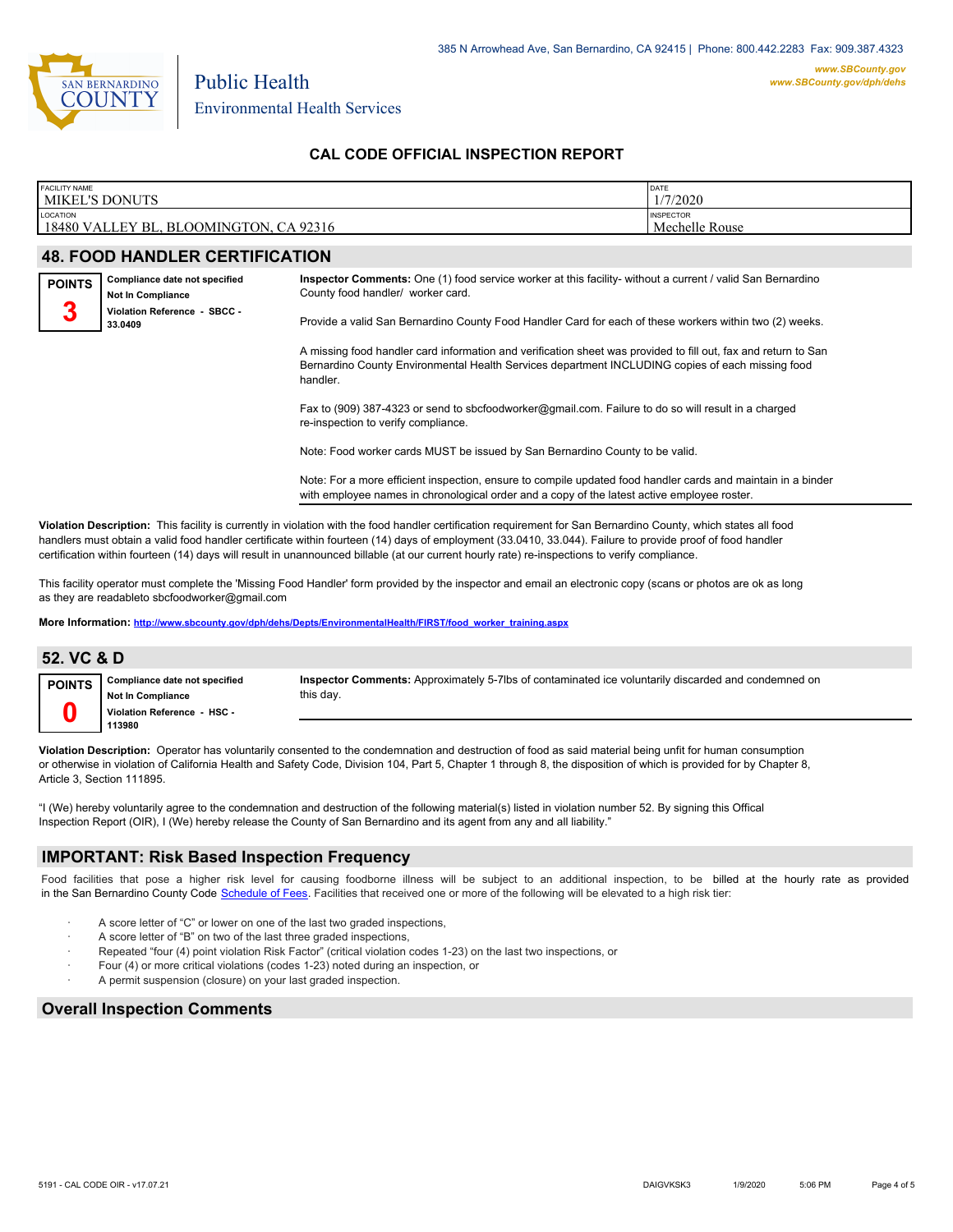

Environmental Health Services

Public Health

## **CAL CODE OFFICIAL INSPECTION REPORT**

| <b>FACILITY NAME</b> | <b>MIKEL'S DONUTS</b>                                                                     |                                                                                                                                                                                                                                | DATE<br>1/7/2020                   |  |  |
|----------------------|-------------------------------------------------------------------------------------------|--------------------------------------------------------------------------------------------------------------------------------------------------------------------------------------------------------------------------------|------------------------------------|--|--|
| LOCATION             | 18480 VALLEY BL, BLOOMINGTON, CA 92316                                                    |                                                                                                                                                                                                                                | <b>INSPECTOR</b><br>Mechelle Rouse |  |  |
|                      | <b>48. FOOD HANDLER CERTIFICATION</b>                                                     |                                                                                                                                                                                                                                |                                    |  |  |
| <b>POINTS</b><br>3   | Compliance date not specified<br><b>Not In Compliance</b><br>Violation Reference - SBCC - | Inspector Comments: One (1) food service worker at this facility-without a current / valid San Bernardino<br>County food handler/ worker card.                                                                                 |                                    |  |  |
|                      | 33.0409                                                                                   | Provide a valid San Bernardino County Food Handler Card for each of these workers within two (2) weeks.                                                                                                                        |                                    |  |  |
|                      |                                                                                           | A missing food handler card information and verification sheet was provided to fill out, fax and return to San<br>Bernardino County Environmental Health Services department INCLUDING copies of each missing food<br>handler. |                                    |  |  |
|                      |                                                                                           | Fax to (909) 387-4323 or send to sbcfoodworker@gmail.com. Failure to do so will result in a charged<br>re-inspection to verify compliance.                                                                                     |                                    |  |  |

Note: Food worker cards MUST be issued by San Bernardino County to be valid.

Note: For a more efficient inspection, ensure to compile updated food handler cards and maintain in a binder with employee names in chronological order and a copy of the latest active employee roster.

**Violation Description:** This facility is currently in violation with the food handler certification requirement for San Bernardino County, which states all food handlers must obtain a valid food handler certificate within fourteen (14) days of employment (33.0410, 33.044). Failure to provide proof of food handler certification within fourteen (14) days will result in unannounced billable (at our current hourly rate) re-inspections to verify compliance.

This facility operator must complete the 'Missing Food Handler' form provided by the inspector and email an electronic copy (scans or photos are ok as long as they are readableto sbcfoodworker@gmail.com

**More Information: [http://www.sbcounty.gov/dph/dehs/Depts/EnvironmentalHealth/FIRST/food\\_worker\\_training.aspx](http://www.sbcounty.gov/dph/dehs/Depts/EnvironmentalHealth/FIRST/food_worker_training.aspx)**

| 52. VC & D    |                                                                                                    |                                                                                                                  |
|---------------|----------------------------------------------------------------------------------------------------|------------------------------------------------------------------------------------------------------------------|
| <b>POINTS</b> | Compliance date not specified<br><b>Not In Compliance</b><br>Violation Reference - HSC -<br>113980 | Inspector Comments: Approximately 5-7lbs of contaminated ice voluntarily discarded and condemned on<br>this day. |

**Violation Description:** Operator has voluntarily consented to the condemnation and destruction of food as said material being unfit for human consumption or otherwise in violation of California Health and Safety Code, Division 104, Part 5, Chapter 1 through 8, the disposition of which is provided for by Chapter 8, Article 3, Section 111895.

"I (We) hereby voluntarily agree to the condemnation and destruction of the following material(s) listed in violation number 52. By signing this Offical Inspection Report (OIR), I (We) hereby release the County of San Bernardino and its agent from any and all liability."

#### **IMPORTANT: Risk Based Inspection Frequency**

Food facilities that pose a higher risk level for causing foodborne illness will be subject to an additional inspection, to be billed at the hourly rate as provided in the San Bernardino County Code S[chedule of Fees. Facilitie](http://www.amlegal.com/nxt/gateway.dll/California/sanbernardinocounty_ca/title1governmentandadministration/division6countyfees/chapter2scheduleoffees?f=templates$fn=default.htm$3.0$vid=amlegal:sanbernardinocounty_ca$anc=JD_16.0213B)s that received one or more of the following will be elevated to a high risk tier:

- A score letter of "C" or lower on one of the last two graded inspections,
- A score letter of "B" on two of the last three graded inspections,
- Repeated "four (4) point violation Risk Factor" (critical violation codes 1-23) on the last two inspections, or
- Four (4) or more critical violations (codes 1-23) noted during an inspection, or
- A permit suspension (closure) on your last graded inspection.

### **Overall Inspection Comments**